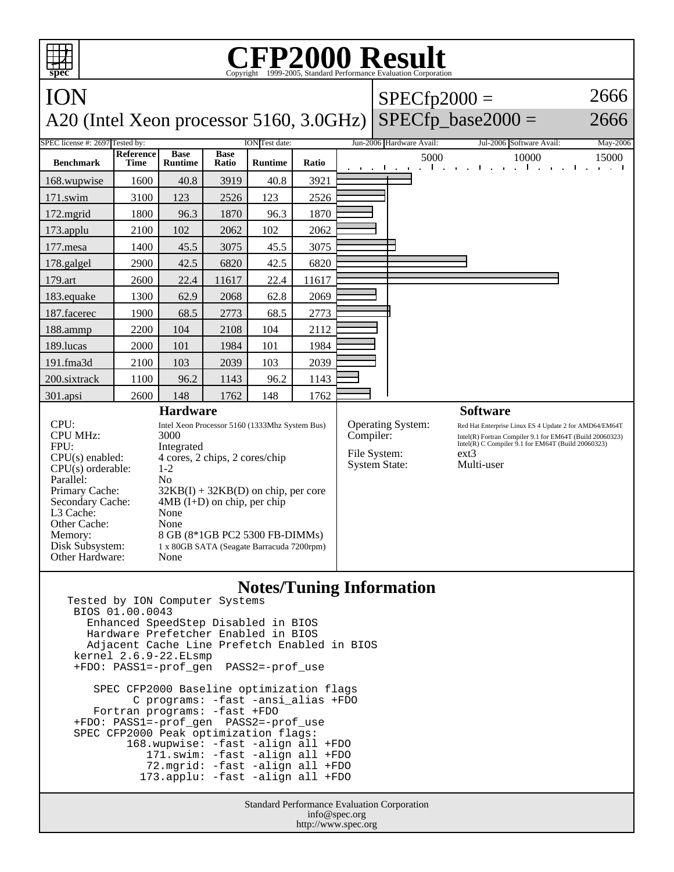## **spec CFP2000 Result** Copyright ©1999-2005, Stand ION A20 (Intel Xeon processor 5160, 3.0GHz)  $SPECfp2000 =$  $SPECfp\_base2000 =$ 2666 2666 SPEC license #: 2697 Tested by: ION Test date: Jun-2006 Hardware Avail: Jul-2006 Software Avail: May-2006 **Benchmark Reference Time Base Runtime Base Ratio Runtime Ratio** 5000 10000 15000 168.wupwise 1600 40.8 3919 40.8 3921 171.swim | 3100 | 123 | 2526 | 123 | 2526 172.mgrid | 1800 | 96.3 | 1870 | 96.3 | 1870 173.applu | 2100 | 102 | 2062 | 102 | 2062 177.mesa | 1400 | 45.5 | 3075 | 45.5 | 3075 178.galgel 2900 42.5 6820 42.5 6820 179.art 2600 22.4 11617 22.4 11617 183.equake 1300 62.9 2068 62.8 2069 187.facerec | 1900 68.5 | 2773 | 68.5 | 2773 188.ammp | 2200 | 104 | 2108 | 104 | 2112 189.lucas | 2000 | 101 | 1984 | 101 | 1984 191.fma3d 2100 103 2039 103 2039 200.sixtrack 1100 96.2 1143 96.2 1143 301.apsi 2600 148 1762 148 1762 **Hardware** CPU: Intel Xeon Processor 5160 (1333Mhz System Bus) CPU MHz: 3000 FPU: Integrated  $CPU(s)$  enabled:  $4$  cores, 2 chips, 2 cores/chip<br>CPU(s) orderable:  $1-2$  $CPU(s)$  orderable: Parallel: No<br>Primary Cache: 32F  $32KB(I) + 32KB(D)$  on chip, per core Secondary Cache: 4MB (I+D) on chip, per chip L3 Cache: None Other Cache: None Memory: 8 GB (8\*1GB PC2 5300 FB-DIMMs) Disk Subsystem: 1 x 80GB SATA (Seagate Barracuda 7200rpm) Other Hardware: None **Software** Operating System: Red Hat Enterprise Linux ES 4 Update 2 for AMD64/EM64T<br>
Compiler: Intel(R) Fortran Compiler 9.1 for EM64T (Build 20060323) Compiler: Intel(R) Fortran Compiler 9.1 for EM64T (Build 20060323) Intel(R) C Compiler 9.1 for EM64T (Build 20060323) File System: ext3<br>System State: Multi-user System State:

## **Notes/Tuning Information**

Tested by ION Computer Systems BIOS 01.00.0043 Enhanced SpeedStep Disabled in BIOS Hardware Prefetcher Enabled in BIOS Adjacent Cache Line Prefetch Enabled in BIOS kernel 2.6.9-22.ELsmp +FDO: PASS1=-prof\_gen PASS2=-prof\_use SPEC CFP2000 Baseline optimization flags C programs: -fast -ansi\_alias +FDO

 Fortran programs: -fast +FDO +FDO: PASS1=-prof\_gen PASS2=-prof\_use SPEC CFP2000 Peak optimization flags: 168.wupwise: -fast -align all +FDO 171.swim: -fast -align all +FDO 72.mgrid: -fast -align all +FDO 173.applu: -fast -align all +FDO

> Standard Performance Evaluation Corporation info@spec.org http://www.spec.org